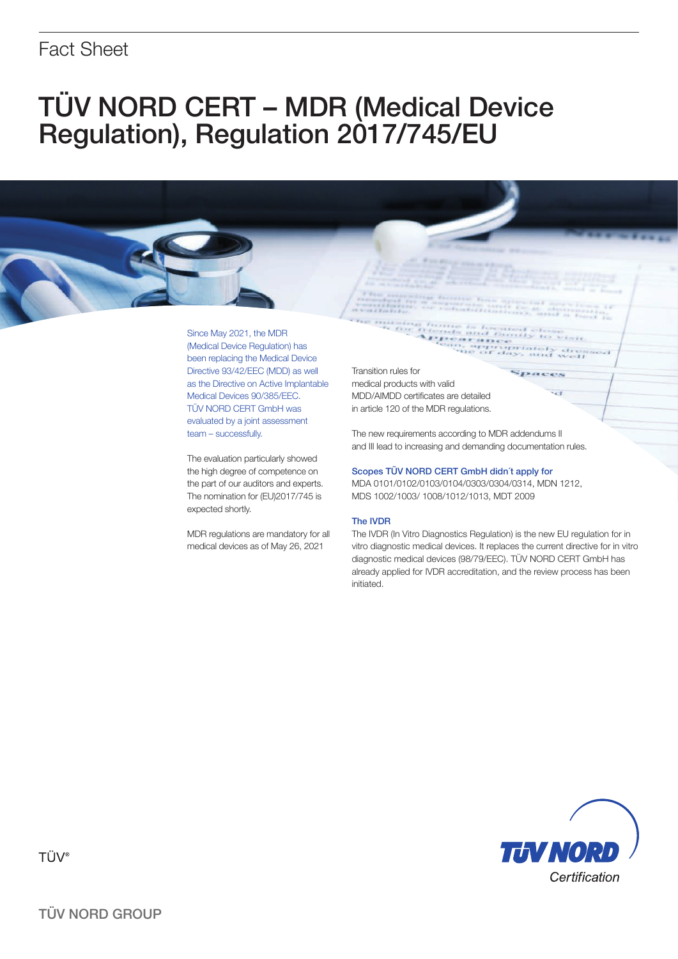## Fact Sheet

# TÜV NORD CERT – MDR (Medical Device Regulation), Regulation 2017/745/EU

Since May 2021, the MDR (Medical Device Regulation) has been replacing the Medical Device Directive 93/42/EEC (MDD) as well as the Directive on Active Implantable Medical Devices 90/385/EEC. TÜV NORD CERT GmbH was evaluated by a joint assessment team – successfully.

The evaluation particularly showed the high degree of competence on the part of our auditors and experts. The nomination for (EU)2017/745 is expected shortly.

MDR regulations are mandatory for all medical devices as of May 26, 2021

Transition rules for medical products with valid MDD/AIMDD certificates are detailed in article 120 of the MDR regulations.

The new requirements according to MDR addendums II and III lead to increasing and demanding documentation rules.

#### Scopes TÜV NORD CERT GmbH didn´t apply for

MDA 0101/0102/0103/0104/0303/0304/0314, MDN 1212, MDS 1002/1003/ 1008/1012/1013, MDT 2009

#### The IVDR

The IVDR (In Vitro Diagnostics Regulation) is the new EU regulation for in vitro diagnostic medical devices. It replaces the current directive for in vitro diagnostic medical devices (98/79/EEC). TÜV NORD CERT GmbH has already applied for IVDR accreditation, and the review process has been initiated.



TÜV<sup>®</sup>